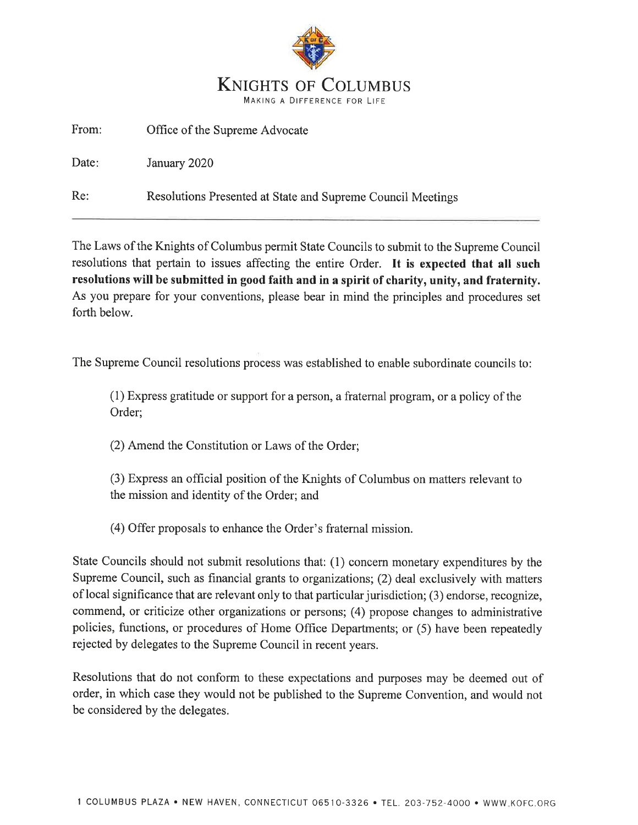

From: Office of the Supreme Advocate

Date: January 2020

Re: Resolutions Presented at State and Supreme Council Meetings

The Laws of the Knights of Columbus permit State Councils to submit to the Supreme Council resolutions that pertain to issues affecting the entire Order. It is expected that all such resolutions will be submitted in good faith and in a spirit of charity, unity, and fraternity. As you prepare for your conventions, please bear in mind the principles and procedures set forth below.

The Supreme Council resolutions process was established to enable subordinate councils to:

(1) Express gratitude or support for a person, a fratemal program, or a policy of the Order;

(2) Amend the Constitution or Laws of the Order;

(3) Express an official position of the Knights of Columbus on matters relevant to the mission and identity of the Order; and

(4) Offer proposals to enhance the Order's fratemal mission.

State Councils should not submit resolutions that: (l) concern monetary expenditures by the Supreme Council, such as financial grants to organizations; (2) deal exclusively with matters of local significance that are relevant only to that particular jurisdiction; (3) endorse, recognize, commend, or criticize other organizations or persons; (4) propose changes to administrative policies, functions, or procedures of Home Office Departments; or (5) have been repeatedly rejected by delegates to the Supreme Council in recent years.

Resolutions that do not conform to these expectations and purposes may be deemed out of order, in which case they would not be published to the Supreme Convention, and would not be considered by the delegates.